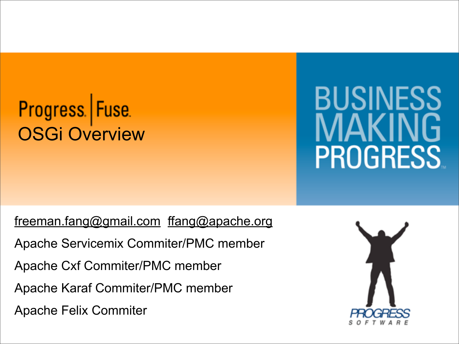# Progress Fuse<br>OSGi Overview

# BUSINESS **PROGRESS**

[freeman.fang@gmail.com](mailto:freeman.fang@gmail.com) [ffang@apache.org](mailto:ffang@apache.org)

Apache Servicemix Commiter/PMC member

Apache Cxf Commiter/PMC member

Apache Karaf Commiter/PMC member

Apache Felix Commiter

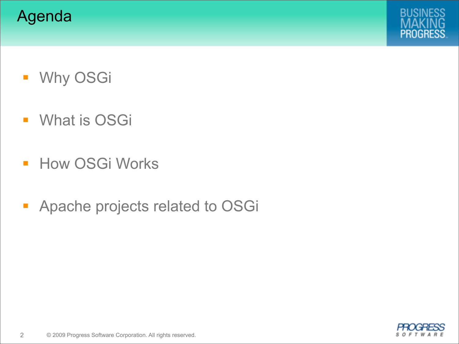



- **Why OSGi**
- **What is OSGi**
- **How OSGi Works**
- **Apache projects related to OSGi**

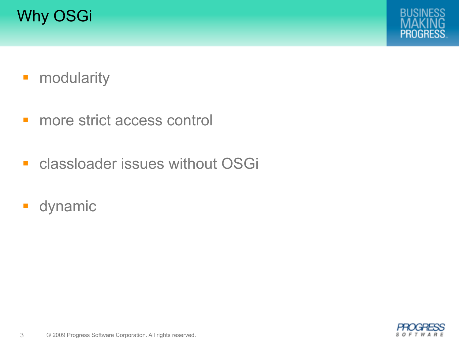



- **-** modularity
- **nance strict access control**
- **Exercise Classloader issues without OSGi**
- **dynamic**

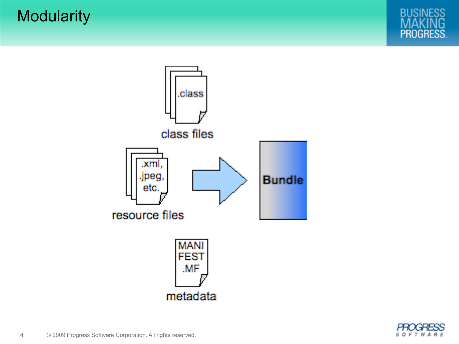**Modularity** 





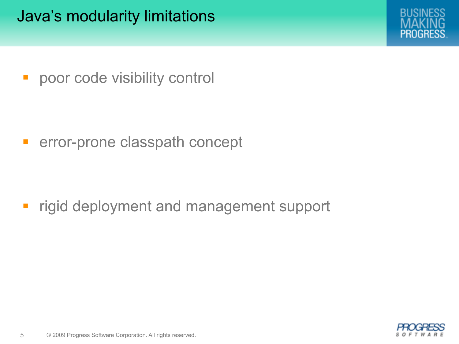Java's modularity limitations



**• poor code visibility control** 

**Exercise classpath concept** 

**Figid deployment and management support** 

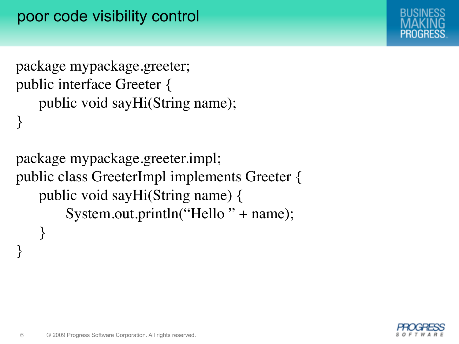```
package mypackage.greeter;
public interface Greeter {
    public void sayHi(String name);
}
```
package mypackage.greeter.impl; public class GreeterImpl implements Greeter { public void sayHi(String name) { System.out.println("Hello" + name); }



}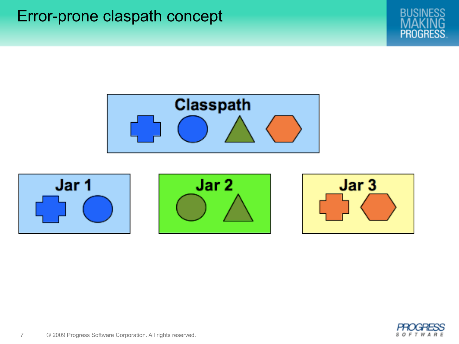Error-prone claspath concept











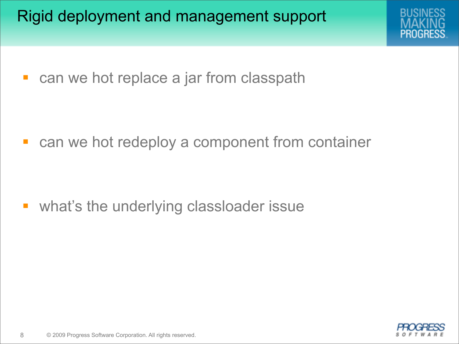Rigid deployment and management support



■ can we hot replace a jar from classpath

**Example 2 random container** can we hot redeploy a component from container

**u** what's the underlying classloader issue

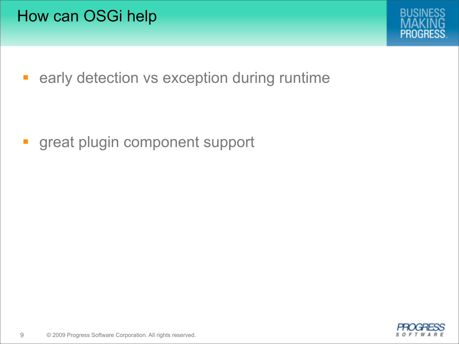

**Example 2 Figure 2 Figure 2 Figure 2 Figure 2 Figure 2 Figure 2 Figure 2 Figure 2 Figure 2 Figure 2 Figure 2 Figure 2 Figure 2 Figure 2 Figure 2 Figure 2 Figure 2 Figure 2 Figure 2 Figure 2 Figure 2 Figure 2 Figure 2 Figu** 

**great plugin component support** 

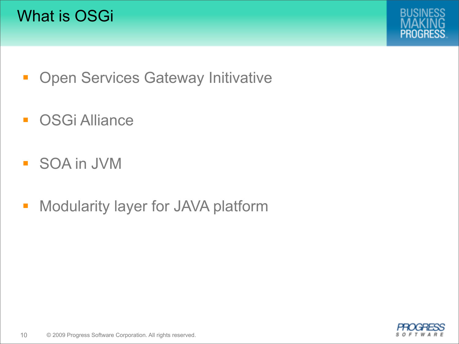



- **Open Services Gateway Initivative**
- **OSGi Alliance**
- SOA in JVM
- **Modularity layer for JAVA platform**

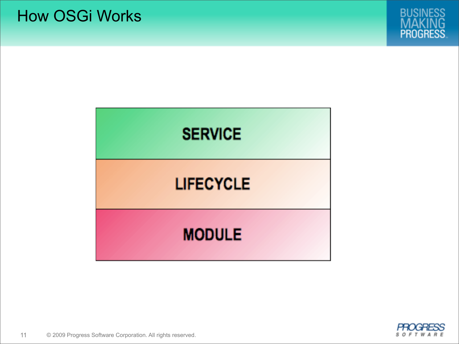



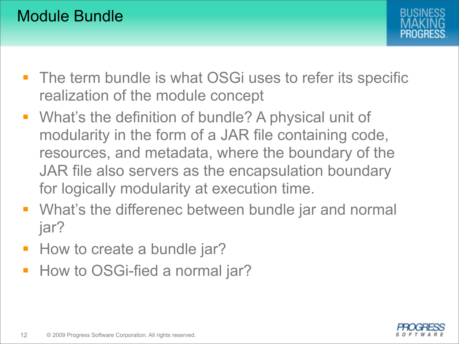

- **The term bundle is what OSGi uses to refer its specific** realization of the module concept
- **What's the definition of bundle? A physical unit of** modularity in the form of a JAR file containing code, resources, and metadata, where the boundary of the JAR file also servers as the encapsulation boundary for logically modularity at execution time.
- **What's the differenec between bundle jar and normal** jar?
- **How to create a bundle jar?**
- How to OSGi-fied a normal jar?

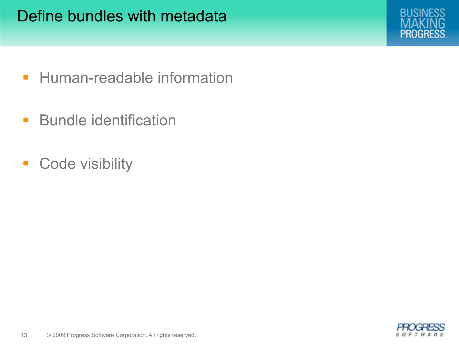

- **Human-readable information**
- **Bundle identification**
- **Code visibility**

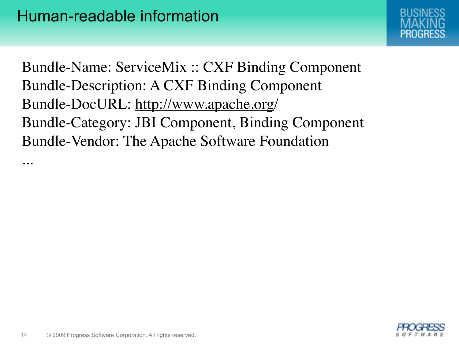

Bundle-Name: ServiceMix :: CXF Binding Component Bundle-Description: A CXF Binding Component Bundle-DocURL: [http://www.apache.org/](http://www.apache.org) Bundle-Category: JBI Component, Binding Component Bundle-Vendor: The Apache Software Foundation



...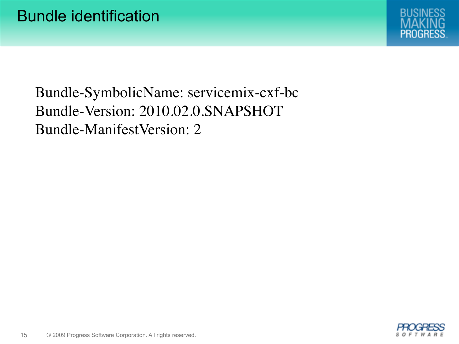

# Bundle-SymbolicName: servicemix-cxf-bc Bundle-Version: 2010.02.0.SNAPSHOT Bundle-ManifestVersion: 2

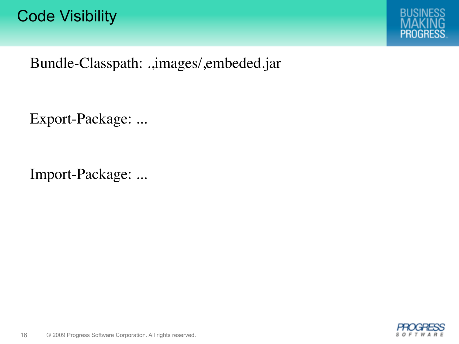

Bundle-Classpath: .,images/,embeded.jar

Export-Package: ...

Import-Package: ...

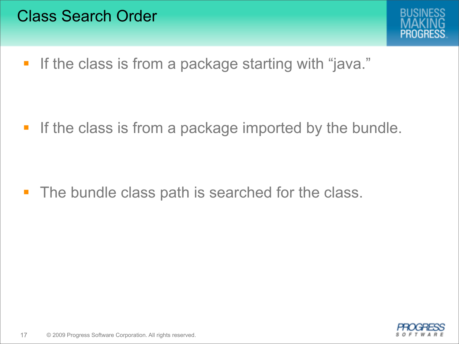

**If the class is from a package starting with "java."** 

**If the class is from a package imported by the bundle.** 

• The bundle class path is searched for the class.

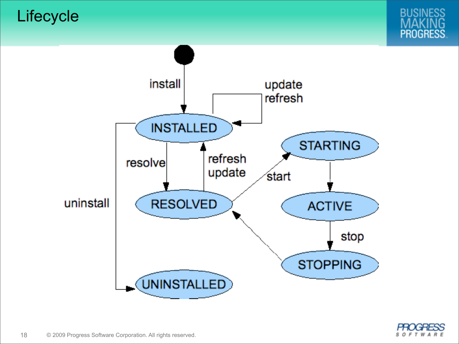**Lifecycle** 





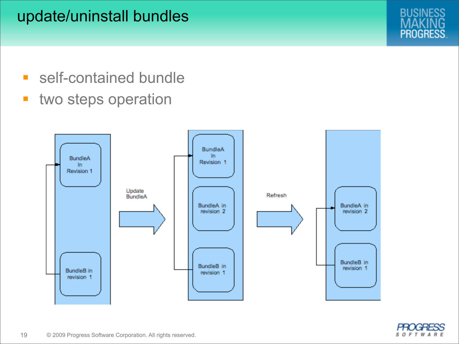## update/uninstall bundles

- **self-contained bundle**
- **two steps operation**



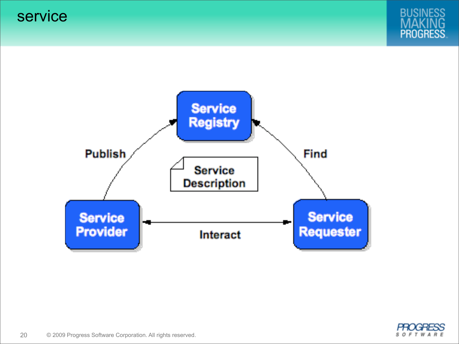service





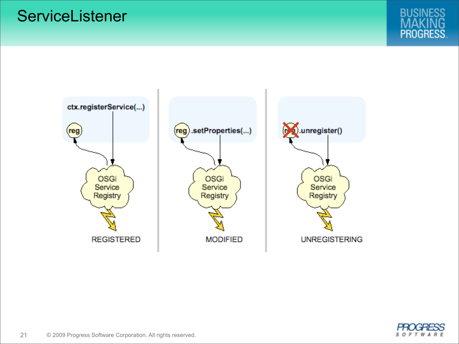#### **ServiceListener**





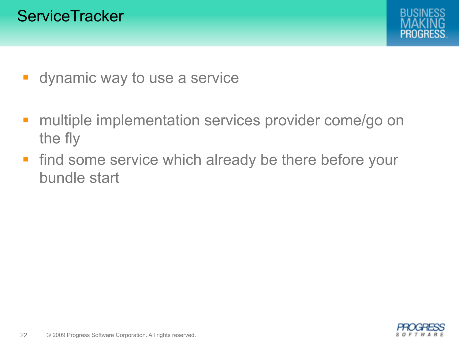

- **dynamic way to use a service**
- **nultiple implementation services provider come/go on** the fly
- **find some service which already be there before your** bundle start

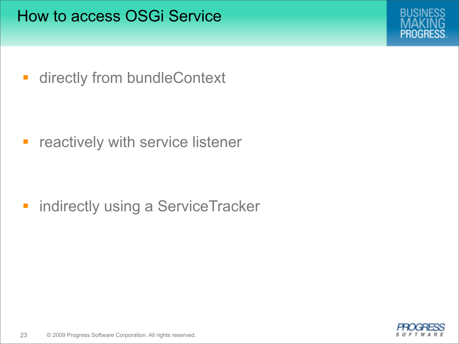

**-** directly from bundleContext

**F** reactively with service listener

**ndirectly using a ServiceTracker** 

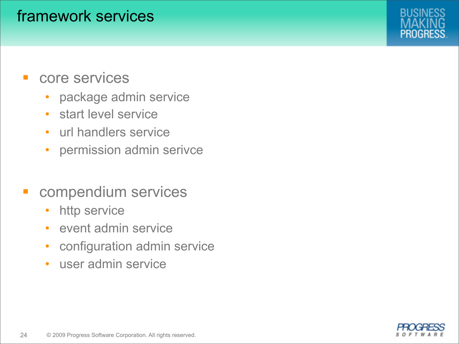#### framework services

- core services
	- package admin service
	- start level service
	- url handlers service
	- permission admin serivce
- compendium services
	- http service
	- event admin service
	- configuration admin service
	- user admin service

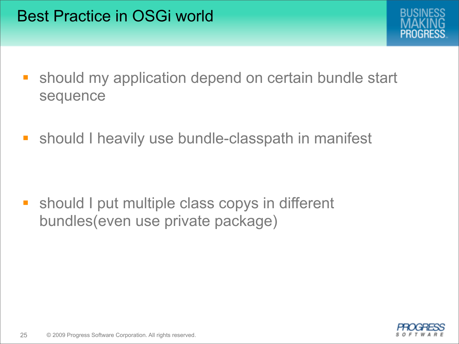

- **Should my application depend on certain bundle start** sequence
- **should I heavily use bundle-classpath in manifest**

**Should I put multiple class copys in different** bundles(even use private package)

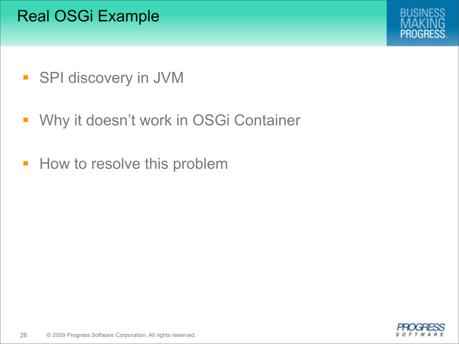# Real OSGi Example



- **SPI discovery in JVM**
- **Why it doesn't work in OSGi Container**
- **How to resolve this problem**

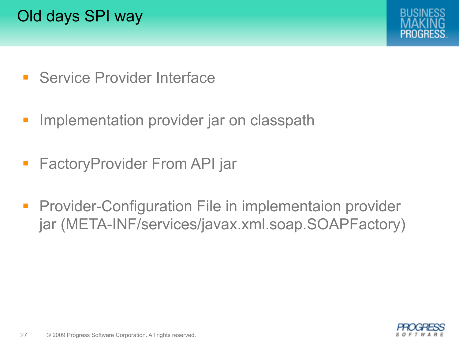# Old days SPI way



- **Service Provider Interface**
- **Implementation provider jar on classpath**
- **FactoryProvider From API jar**
- **Provider-Configuration File in implementaion provider** jar (META-INF/services/javax.xml.soap.SOAPFactory)

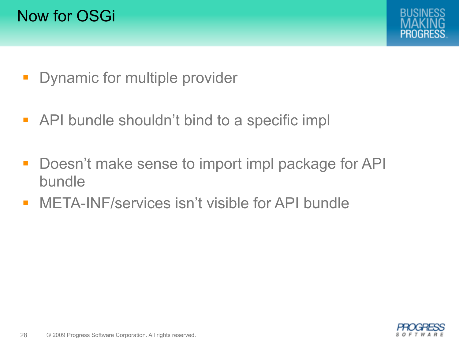

- **Dynamic for multiple provider**
- **API bundle shouldn't bind to a specific implement of the SHS**
- **-** Doesn't make sense to import impl package for API bundle
- META-INF/services isn't visible for API bundle

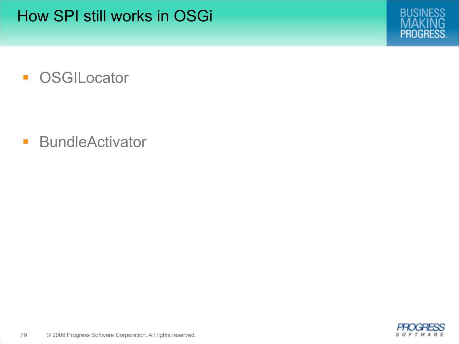

**OSGILocator** 

**BundleActivator** 

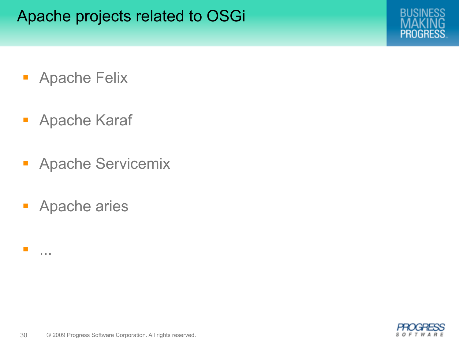

- **Apache Felix**
- **Apache Karaf**
- **Apache Servicemix**
- **Apache aries**

...

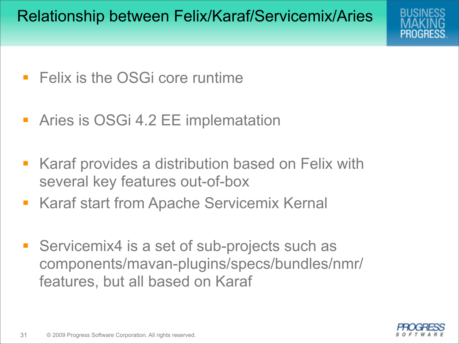

- **Felix is the OSGi core runtime**
- **-** Aries is OSGi 4.2 EE implematation
- **Karaf provides a distribution based on Felix with** several key features out-of-box
- **Karaf start from Apache Servicemix Kernal**
- Servicemix4 is a set of sub-projects such as components/mavan-plugins/specs/bundles/nmr/ features, but all based on Karaf